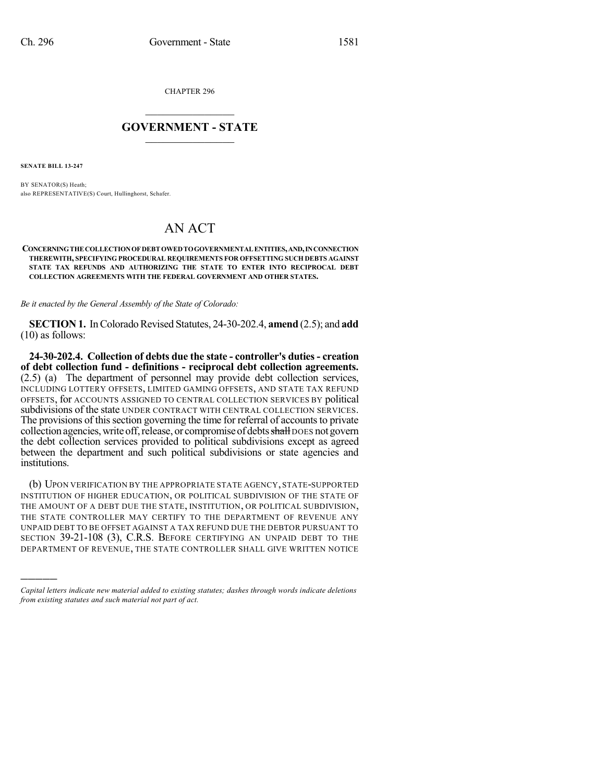CHAPTER 296

## $\mathcal{L}_\text{max}$  . The set of the set of the set of the set of the set of the set of the set of the set of the set of the set of the set of the set of the set of the set of the set of the set of the set of the set of the set **GOVERNMENT - STATE**  $\_$   $\_$   $\_$   $\_$   $\_$   $\_$   $\_$   $\_$

**SENATE BILL 13-247**

)))))

BY SENATOR(S) Heath; also REPRESENTATIVE(S) Court, Hullinghorst, Schafer.

## AN ACT

## **CONCERNINGTHE COLLECTIONOF DEBTOWEDTOGOVERNMENTAL ENTITIES,AND,INCONNECTION THEREWITH, SPECIFYING PROCEDURAL REQUIREMENTS FOR OFFSETTING SUCH DEBTS AGAINST STATE TAX REFUNDS AND AUTHORIZING THE STATE TO ENTER INTO RECIPROCAL DEBT COLLECTION AGREEMENTS WITH THE FEDERAL GOVERNMENT AND OTHER STATES.**

*Be it enacted by the General Assembly of the State of Colorado:*

**SECTION 1.** In Colorado Revised Statutes, 24-30-202.4, **amend** (2.5); and **add** (10) as follows:

**24-30-202.4. Collection of debts due the state - controller's duties- creation of debt collection fund - definitions - reciprocal debt collection agreements.** (2.5) (a) The department of personnel may provide debt collection services, INCLUDING LOTTERY OFFSETS, LIMITED GAMING OFFSETS, AND STATE TAX REFUND OFFSETS, for ACCOUNTS ASSIGNED TO CENTRAL COLLECTION SERVICES BY political subdivisions of the state UNDER CONTRACT WITH CENTRAL COLLECTION SERVICES. The provisions of this section governing the time for referral of accounts to private collection agencies, write off, release, or compromise of debts shall DOES not govern the debt collection services provided to political subdivisions except as agreed between the department and such political subdivisions or state agencies and institutions.

(b) UPON VERIFICATION BY THE APPROPRIATE STATE AGENCY, STATE-SUPPORTED INSTITUTION OF HIGHER EDUCATION, OR POLITICAL SUBDIVISION OF THE STATE OF THE AMOUNT OF A DEBT DUE THE STATE, INSTITUTION, OR POLITICAL SUBDIVISION, THE STATE CONTROLLER MAY CERTIFY TO THE DEPARTMENT OF REVENUE ANY UNPAID DEBT TO BE OFFSET AGAINST A TAX REFUND DUE THE DEBTOR PURSUANT TO SECTION 39-21-108 (3), C.R.S. BEFORE CERTIFYING AN UNPAID DEBT TO THE DEPARTMENT OF REVENUE, THE STATE CONTROLLER SHALL GIVE WRITTEN NOTICE

*Capital letters indicate new material added to existing statutes; dashes through words indicate deletions from existing statutes and such material not part of act.*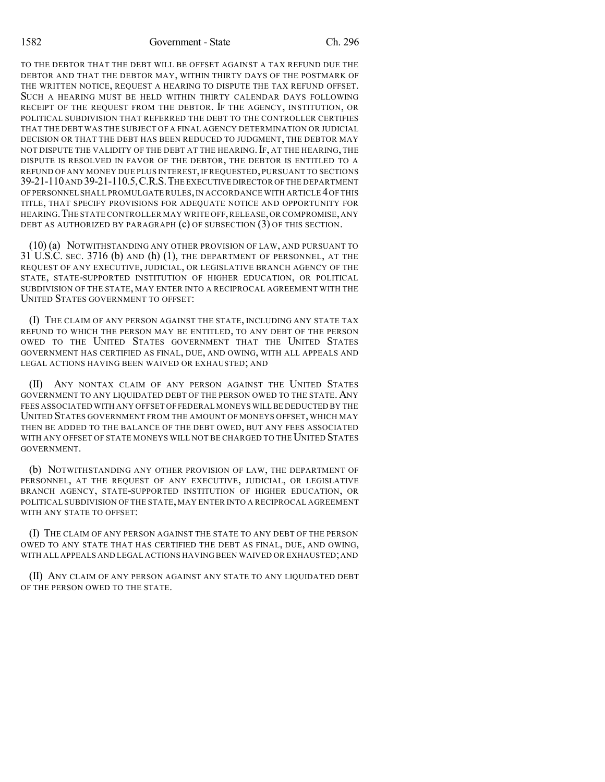TO THE DEBTOR THAT THE DEBT WILL BE OFFSET AGAINST A TAX REFUND DUE THE DEBTOR AND THAT THE DEBTOR MAY, WITHIN THIRTY DAYS OF THE POSTMARK OF THE WRITTEN NOTICE, REQUEST A HEARING TO DISPUTE THE TAX REFUND OFFSET. SUCH A HEARING MUST BE HELD WITHIN THIRTY CALENDAR DAYS FOLLOWING RECEIPT OF THE REQUEST FROM THE DEBTOR. IF THE AGENCY, INSTITUTION, OR POLITICAL SUBDIVISION THAT REFERRED THE DEBT TO THE CONTROLLER CERTIFIES THAT THE DEBT WAS THE SUBJECT OF A FINAL AGENCY DETERMINATION OR JUDICIAL DECISION OR THAT THE DEBT HAS BEEN REDUCED TO JUDGMENT, THE DEBTOR MAY NOT DISPUTE THE VALIDITY OF THE DEBT AT THE HEARING, IF, AT THE HEARING, THE DISPUTE IS RESOLVED IN FAVOR OF THE DEBTOR, THE DEBTOR IS ENTITLED TO A REFUND OF ANY MONEY DUE PLUS INTEREST, IF REQUESTED, PURSUANT TO SECTIONS 39-21-110AND 39-21-110.5,C.R.S.THE EXECUTIVE DIRECTOR OFTHE DEPARTMENT OFPERSONNEL SHALL PROMULGATE RULES,IN ACCORDANCE WITH ARTICLE 4OF THIS TITLE, THAT SPECIFY PROVISIONS FOR ADEQUATE NOTICE AND OPPORTUNITY FOR HEARING.THE STATE CONTROLLER MAY WRITE OFF,RELEASE,OR COMPROMISE,ANY DEBT AS AUTHORIZED BY PARAGRAPH (c) OF SUBSECTION (3) OF THIS SECTION.

(10) (a) NOTWITHSTANDING ANY OTHER PROVISION OF LAW, AND PURSUANT TO 31 U.S.C. SEC. 3716 (b) AND (h) (1), THE DEPARTMENT OF PERSONNEL, AT THE REQUEST OF ANY EXECUTIVE, JUDICIAL, OR LEGISLATIVE BRANCH AGENCY OF THE STATE, STATE-SUPPORTED INSTITUTION OF HIGHER EDUCATION, OR POLITICAL SUBDIVISION OF THE STATE, MAY ENTER INTO A RECIPROCAL AGREEMENT WITH THE UNITED STATES GOVERNMENT TO OFFSET:

(I) THE CLAIM OF ANY PERSON AGAINST THE STATE, INCLUDING ANY STATE TAX REFUND TO WHICH THE PERSON MAY BE ENTITLED, TO ANY DEBT OF THE PERSON OWED TO THE UNITED STATES GOVERNMENT THAT THE UNITED STATES GOVERNMENT HAS CERTIFIED AS FINAL, DUE, AND OWING, WITH ALL APPEALS AND LEGAL ACTIONS HAVING BEEN WAIVED OR EXHAUSTED; AND

(II) ANY NONTAX CLAIM OF ANY PERSON AGAINST THE UNITED STATES GOVERNMENT TO ANY LIQUIDATED DEBT OF THE PERSON OWED TO THE STATE.ANY FEES ASSOCIATED WITH ANY OFFSET OF FEDERAL MONEYS WILL BE DEDUCTED BY THE UNITED STATES GOVERNMENT FROM THE AMOUNT OF MONEYS OFFSET, WHICH MAY THEN BE ADDED TO THE BALANCE OF THE DEBT OWED, BUT ANY FEES ASSOCIATED WITH ANY OFFSET OF STATE MONEYS WILL NOT BE CHARGED TO THE UNITED STATES GOVERNMENT.

(b) NOTWITHSTANDING ANY OTHER PROVISION OF LAW, THE DEPARTMENT OF PERSONNEL, AT THE REQUEST OF ANY EXECUTIVE, JUDICIAL, OR LEGISLATIVE BRANCH AGENCY, STATE-SUPPORTED INSTITUTION OF HIGHER EDUCATION, OR POLITICAL SUBDIVISION OF THE STATE, MAY ENTER INTO A RECIPROCAL AGREEMENT WITH ANY STATE TO OFFSET:

(I) THE CLAIM OF ANY PERSON AGAINST THE STATE TO ANY DEBT OF THE PERSON OWED TO ANY STATE THAT HAS CERTIFIED THE DEBT AS FINAL, DUE, AND OWING, WITH ALL APPEALS AND LEGAL ACTIONS HAVING BEEN WAIVED OR EXHAUSTED;AND

(II) ANY CLAIM OF ANY PERSON AGAINST ANY STATE TO ANY LIQUIDATED DEBT OF THE PERSON OWED TO THE STATE.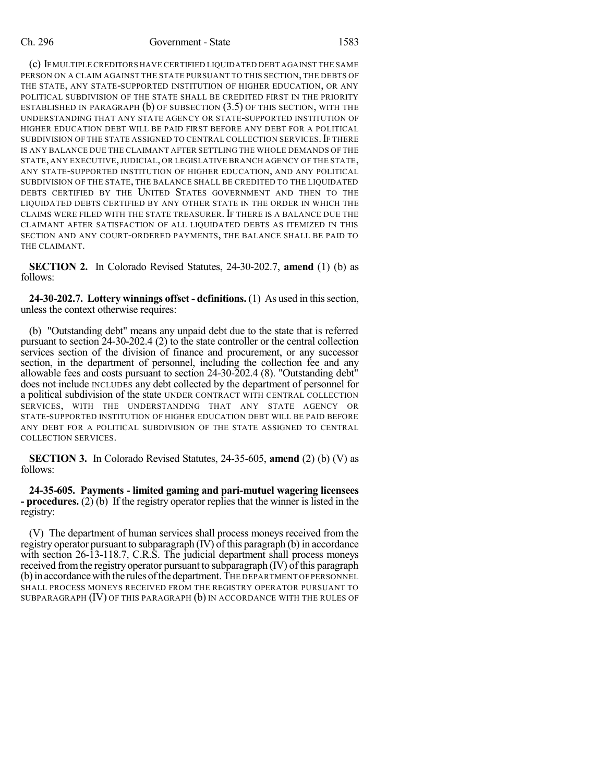## Ch. 296 Government - State 1583

(c) IFMULTIPLE CREDITORS HAVE CERTIFIED LIQUIDATED DEBT AGAINST THE SAME PERSON ON A CLAIM AGAINST THE STATE PURSUANT TO THIS SECTION, THE DEBTS OF THE STATE, ANY STATE-SUPPORTED INSTITUTION OF HIGHER EDUCATION, OR ANY POLITICAL SUBDIVISION OF THE STATE SHALL BE CREDITED FIRST IN THE PRIORITY ESTABLISHED IN PARAGRAPH (b) OF SUBSECTION (3.5) OF THIS SECTION, WITH THE UNDERSTANDING THAT ANY STATE AGENCY OR STATE-SUPPORTED INSTITUTION OF HIGHER EDUCATION DEBT WILL BE PAID FIRST BEFORE ANY DEBT FOR A POLITICAL SUBDIVISION OF THE STATE ASSIGNED TO CENTRAL COLLECTION SERVICES. IF THERE IS ANY BALANCE DUE THE CLAIMANT AFTER SETTLING THE WHOLE DEMANDS OF THE STATE, ANY EXECUTIVE,JUDICIAL, OR LEGISLATIVE BRANCH AGENCY OF THE STATE, ANY STATE-SUPPORTED INSTITUTION OF HIGHER EDUCATION, AND ANY POLITICAL SUBDIVISION OF THE STATE, THE BALANCE SHALL BE CREDITED TO THE LIQUIDATED DEBTS CERTIFIED BY THE UNITED STATES GOVERNMENT AND THEN TO THE LIQUIDATED DEBTS CERTIFIED BY ANY OTHER STATE IN THE ORDER IN WHICH THE CLAIMS WERE FILED WITH THE STATE TREASURER. IF THERE IS A BALANCE DUE THE CLAIMANT AFTER SATISFACTION OF ALL LIQUIDATED DEBTS AS ITEMIZED IN THIS SECTION AND ANY COURT-ORDERED PAYMENTS, THE BALANCE SHALL BE PAID TO THE CLAIMANT.

**SECTION 2.** In Colorado Revised Statutes, 24-30-202.7, **amend** (1) (b) as follows:

**24-30-202.7. Lottery winnings offset - definitions.** (1) As used in thissection, unless the context otherwise requires:

(b) "Outstanding debt" means any unpaid debt due to the state that is referred pursuant to section 24-30-202.4 (2) to the state controller or the central collection services section of the division of finance and procurement, or any successor section, in the department of personnel, including the collection fee and any allowable fees and costs pursuant to section 24-30-202.4 (8). "Outstanding debt" does not include INCLUDES any debt collected by the department of personnel for a political subdivision of the state UNDER CONTRACT WITH CENTRAL COLLECTION SERVICES, WITH THE UNDERSTANDING THAT ANY STATE AGENCY OR STATE-SUPPORTED INSTITUTION OF HIGHER EDUCATION DEBT WILL BE PAID BEFORE ANY DEBT FOR A POLITICAL SUBDIVISION OF THE STATE ASSIGNED TO CENTRAL COLLECTION SERVICES.

**SECTION 3.** In Colorado Revised Statutes, 24-35-605, **amend** (2) (b) (V) as follows:

**24-35-605. Payments - limited gaming and pari-mutuel wagering licensees - procedures.** (2) (b) If the registry operator replies that the winner is listed in the registry:

(V) The department of human services shall process moneys received from the registry operator pursuant to subparagraph (IV) of this paragraph (b) in accordance with section 26-13-118.7, C.R.S. The judicial department shall process moneys received from the registry operator pursuant to subparagraph (IV) of this paragraph (b)inaccordancewiththe rulesofthe department.THE DEPARTMENT OF PERSONNEL SHALL PROCESS MONEYS RECEIVED FROM THE REGISTRY OPERATOR PURSUANT TO SUBPARAGRAPH (IV) OF THIS PARAGRAPH (b) IN ACCORDANCE WITH THE RULES OF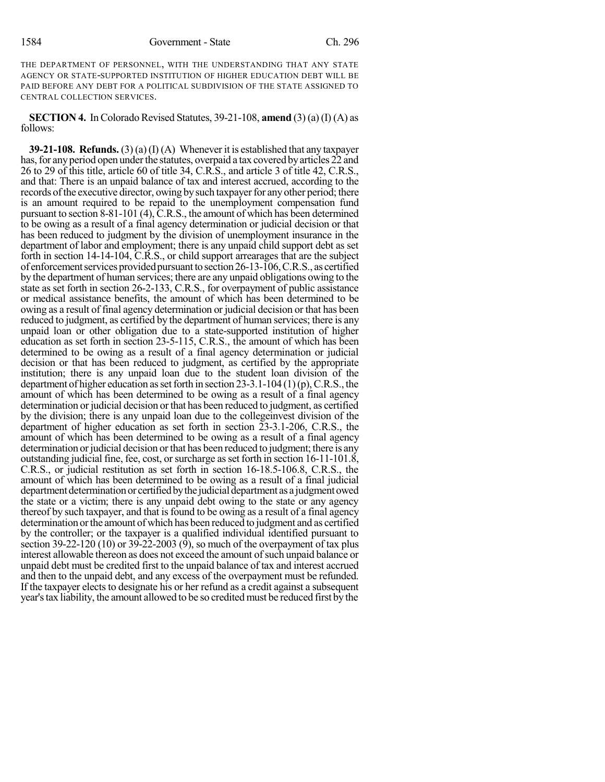THE DEPARTMENT OF PERSONNEL, WITH THE UNDERSTANDING THAT ANY STATE AGENCY OR STATE-SUPPORTED INSTITUTION OF HIGHER EDUCATION DEBT WILL BE PAID BEFORE ANY DEBT FOR A POLITICAL SUBDIVISION OF THE STATE ASSIGNED TO CENTRAL COLLECTION SERVICES.

**SECTION 4.** In Colorado Revised Statutes,  $39-21-108$ , **amend**  $(3)$  (a) (I) (A) as follows:

**39-21-108. Refunds.** (3) (a)(I) (A) Whenever it is established that any taxpayer has, for any period open under the statutes, overpaid a tax covered by articles 22 and 26 to 29 of this title, article 60 of title 34, C.R.S., and article 3 of title 42, C.R.S., and that: There is an unpaid balance of tax and interest accrued, according to the records of the executive director, owing by such taxpayer for any other period; there is an amount required to be repaid to the unemployment compensation fund pursuant to section 8-81-101 (4), C.R.S., the amount of which has been determined to be owing as a result of a final agency determination or judicial decision or that has been reduced to judgment by the division of unemployment insurance in the department of labor and employment; there is any unpaid child support debt as set forth in section 14-14-104, C.R.S., or child support arrearages that are the subject of enforcement services provided pursuant to section  $26-13-106$ , C.R.S., as certified by the department of human services; there are any unpaid obligations owing to the state as set forth in section 26-2-133, C.R.S., for overpayment of public assistance or medical assistance benefits, the amount of which has been determined to be owing as a result of final agency determination or judicial decision or that has been reduced to judgment, as certified by the department of human services; there is any unpaid loan or other obligation due to a state-supported institution of higher education as set forth in section 23-5-115, C.R.S., the amount of which has been determined to be owing as a result of a final agency determination or judicial decision or that has been reduced to judgment, as certified by the appropriate institution; there is any unpaid loan due to the student loan division of the department of higher education as set forth in section 23-3.1-104 (1)(p), C.R.S., the amount of which has been determined to be owing as a result of a final agency determination or judicial decision or that has been reduced to judgment, as certified by the division; there is any unpaid loan due to the collegeinvest division of the department of higher education as set forth in section 23-3.1-206, C.R.S., the amount of which has been determined to be owing as a result of a final agency determination or judicial decision or that has been reduced to judgment; there is any outstanding judicial fine, fee, cost, or surcharge as set forth in section 16-11-101.8, C.R.S., or judicial restitution as set forth in section 16-18.5-106.8, C.R.S., the amount of which has been determined to be owing as a result of a final judicial department determinationor certifiedbythe judicial department as a judgment owed the state or a victim; there is any unpaid debt owing to the state or any agency thereof by such taxpayer, and that is found to be owing as a result of a final agency determination orthe amount of which has been reduced to judgment and as certified by the controller; or the taxpayer is a qualified individual identified pursuant to section  $39-22-120(10)$  or  $39-22-2003(9)$ , so much of the overpayment of tax plus interest allowable thereon as does not exceed the amount of such unpaid balance or unpaid debt must be credited first to the unpaid balance of tax and interest accrued and then to the unpaid debt, and any excess of the overpayment must be refunded. If the taxpayer elects to designate his or her refund as a credit against a subsequent year'stax liability, the amount allowed to be so credited must be reduced first by the